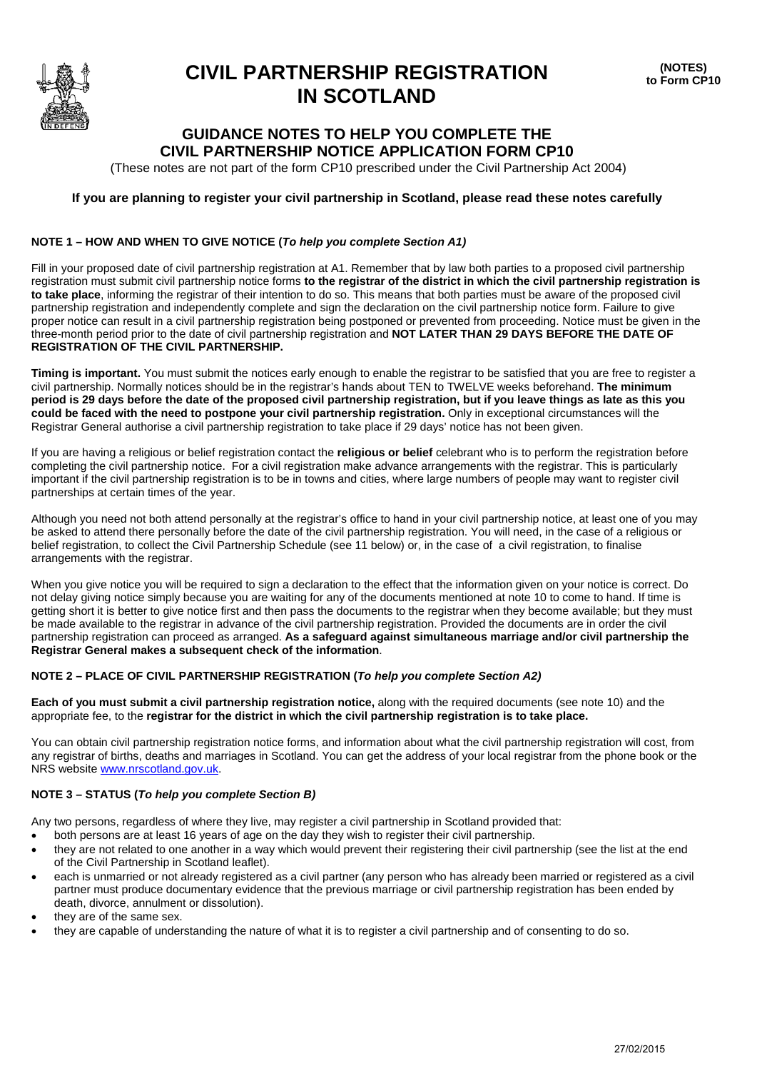

## **CIVIL PARTNERSHIP REGISTRATION IN SCOTLAND**

**(NOTES) to Form CP10**

## **GUIDANCE NOTES TO HELP YOU COMPLETE THE CIVIL PARTNERSHIP NOTICE APPLICATION FORM CP10**

(These notes are not part of the form CP10 prescribed under the Civil Partnership Act 2004)

#### **If you are planning to register your civil partnership in Scotland, please read these notes carefully**

#### **NOTE 1 – HOW AND WHEN TO GIVE NOTICE (***To help you complete Section A1)*

Fill in your proposed date of civil partnership registration at A1. Remember that by law both parties to a proposed civil partnership registration must submit civil partnership notice forms **to the registrar of the district in which the civil partnership registration is to take place**, informing the registrar of their intention to do so. This means that both parties must be aware of the proposed civil partnership registration and independently complete and sign the declaration on the civil partnership notice form. Failure to give proper notice can result in a civil partnership registration being postponed or prevented from proceeding. Notice must be given in the three-month period prior to the date of civil partnership registration and **NOT LATER THAN 29 DAYS BEFORE THE DATE OF REGISTRATION OF THE CIVIL PARTNERSHIP.**

**Timing is important.** You must submit the notices early enough to enable the registrar to be satisfied that you are free to register a civil partnership. Normally notices should be in the registrar's hands about TEN to TWELVE weeks beforehand. **The minimum period is 29 days before the date of the proposed civil partnership registration, but if you leave things as late as this you could be faced with the need to postpone your civil partnership registration.** Only in exceptional circumstances will the Registrar General authorise a civil partnership registration to take place if 29 days' notice has not been given.

If you are having a religious or belief registration contact the **religious or belief** celebrant who is to perform the registration before completing the civil partnership notice. For a civil registration make advance arrangements with the registrar. This is particularly important if the civil partnership registration is to be in towns and cities, where large numbers of people may want to register civil partnerships at certain times of the year.

Although you need not both attend personally at the registrar's office to hand in your civil partnership notice, at least one of you may be asked to attend there personally before the date of the civil partnership registration. You will need, in the case of a religious or belief registration, to collect the Civil Partnership Schedule (see 11 below) or, in the case of a civil registration, to finalise arrangements with the registrar.

When you give notice you will be required to sign a declaration to the effect that the information given on your notice is correct. Do not delay giving notice simply because you are waiting for any of the documents mentioned at note 10 to come to hand. If time is getting short it is better to give notice first and then pass the documents to the registrar when they become available; but they must be made available to the registrar in advance of the civil partnership registration. Provided the documents are in order the civil partnership registration can proceed as arranged. **As a safeguard against simultaneous marriage and/or civil partnership the Registrar General makes a subsequent check of the information**.

#### **NOTE 2 – PLACE OF CIVIL PARTNERSHIP REGISTRATION (***To help you complete Section A2)*

**Each of you must submit a civil partnership registration notice,** along with the required documents (see note 10) and the appropriate fee, to the **registrar for the district in which the civil partnership registration is to take place.**

You can obtain civil partnership registration notice forms, and information about what the civil partnership registration will cost, from any registrar of births, deaths and marriages in Scotland. You can get the address of your local registrar from the phone book or the NRS website www.nrscotland.gov.uk.

#### **NOTE 3 – STATUS (***To help you complete Section B)*

Any two persons, regardless of where they live, may register a civil partnership in Scotland provided that:

- both persons are at least 16 years of age on the day they wish to register their civil partnership.
- they are not related to one another in a way which would prevent their registering their civil partnership (see the list at the end of the Civil Partnership in Scotland leaflet).
- each is unmarried or not already registered as a civil partner (any person who has already been married or registered as a civil partner must produce documentary evidence that the previous marriage or civil partnership registration has been ended by death, divorce, annulment or dissolution).
- they are of the same sex.
- they are capable of understanding the nature of what it is to register a civil partnership and of consenting to do so.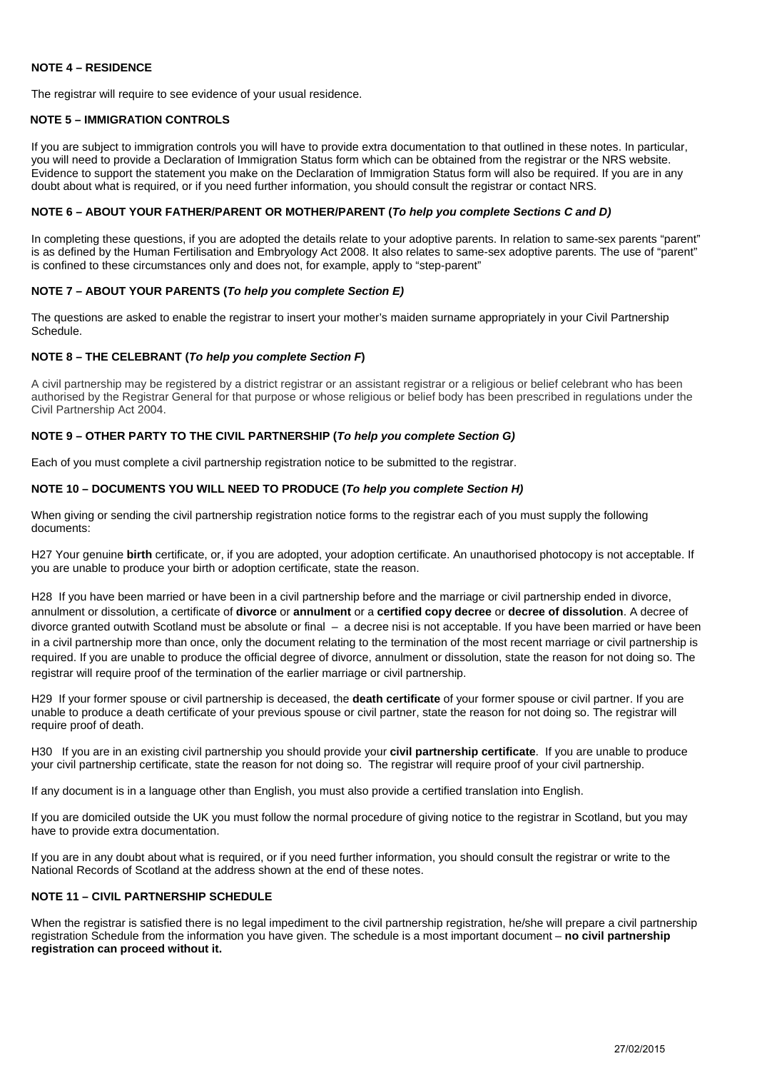#### **NOTE 4 – RESIDENCE**

The registrar will require to see evidence of your usual residence.

#### **NOTE 5 – IMMIGRATION CONTROLS**

If you are subject to immigration controls you will have to provide extra documentation to that outlined in these notes. In particular, you will need to provide a Declaration of Immigration Status form which can be obtained from the registrar or the NRS website. Evidence to support the statement you make on the Declaration of Immigration Status form will also be required. If you are in any doubt about what is required, or if you need further information, you should consult the registrar or contact NRS.

#### **NOTE 6 – ABOUT YOUR FATHER/PARENT OR MOTHER/PARENT (***To help you complete Sections C and D)*

In completing these questions, if you are adopted the details relate to your adoptive parents. In relation to same-sex parents "parent" is as defined by the Human Fertilisation and Embryology Act 2008. It also relates to same-sex adoptive parents. The use of "parent" is confined to these circumstances only and does not, for example, apply to "step-parent"

#### **NOTE 7 – ABOUT YOUR PARENTS (***To help you complete Section E)*

The questions are asked to enable the registrar to insert your mother's maiden surname appropriately in your Civil Partnership Schedule.

#### **NOTE 8 – THE CELEBRANT (***To help you complete Section F***)**

A civil partnership may be registered by a district registrar or an assistant registrar or a religious or belief celebrant who has been authorised by the Registrar General for that purpose or whose religious or belief body has been prescribed in regulations under the Civil Partnership Act 2004.

#### **NOTE 9 – OTHER PARTY TO THE CIVIL PARTNERSHIP (***To help you complete Section G)*

Each of you must complete a civil partnership registration notice to be submitted to the registrar.

#### **NOTE 10 – DOCUMENTS YOU WILL NEED TO PRODUCE (***To help you complete Section H)*

When giving or sending the civil partnership registration notice forms to the registrar each of you must supply the following documents:

H27 Your genuine **birth** certificate, or, if you are adopted, your adoption certificate. An unauthorised photocopy is not acceptable. If you are unable to produce your birth or adoption certificate, state the reason.

H28 If you have been married or have been in a civil partnership before and the marriage or civil partnership ended in divorce, annulment or dissolution, a certificate of **divorce** or **annulment** or a **certified copy decree** or **decree of dissolution**. A decree of divorce granted outwith Scotland must be absolute or final – a decree nisi is not acceptable. If you have been married or have been in a civil partnership more than once, only the document relating to the termination of the most recent marriage or civil partnership is required. If you are unable to produce the official degree of divorce, annulment or dissolution, state the reason for not doing so. The registrar will require proof of the termination of the earlier marriage or civil partnership.

H29 If your former spouse or civil partnership is deceased, the **death certificate** of your former spouse or civil partner. If you are unable to produce a death certificate of your previous spouse or civil partner, state the reason for not doing so. The registrar will require proof of death.

H30 If you are in an existing civil partnership you should provide your **civil partnership certificate**. If you are unable to produce your civil partnership certificate, state the reason for not doing so. The registrar will require proof of your civil partnership.

If any document is in a language other than English, you must also provide a certified translation into English.

If you are domiciled outside the UK you must follow the normal procedure of giving notice to the registrar in Scotland, but you may have to provide extra documentation.

If you are in any doubt about what is required, or if you need further information, you should consult the registrar or write to the National Records of Scotland at the address shown at the end of these notes.

#### **NOTE 11 – CIVIL PARTNERSHIP SCHEDULE**

When the registrar is satisfied there is no legal impediment to the civil partnership registration, he/she will prepare a civil partnership registration Schedule from the information you have given. The schedule is a most important document – **no civil partnership registration can proceed without it.**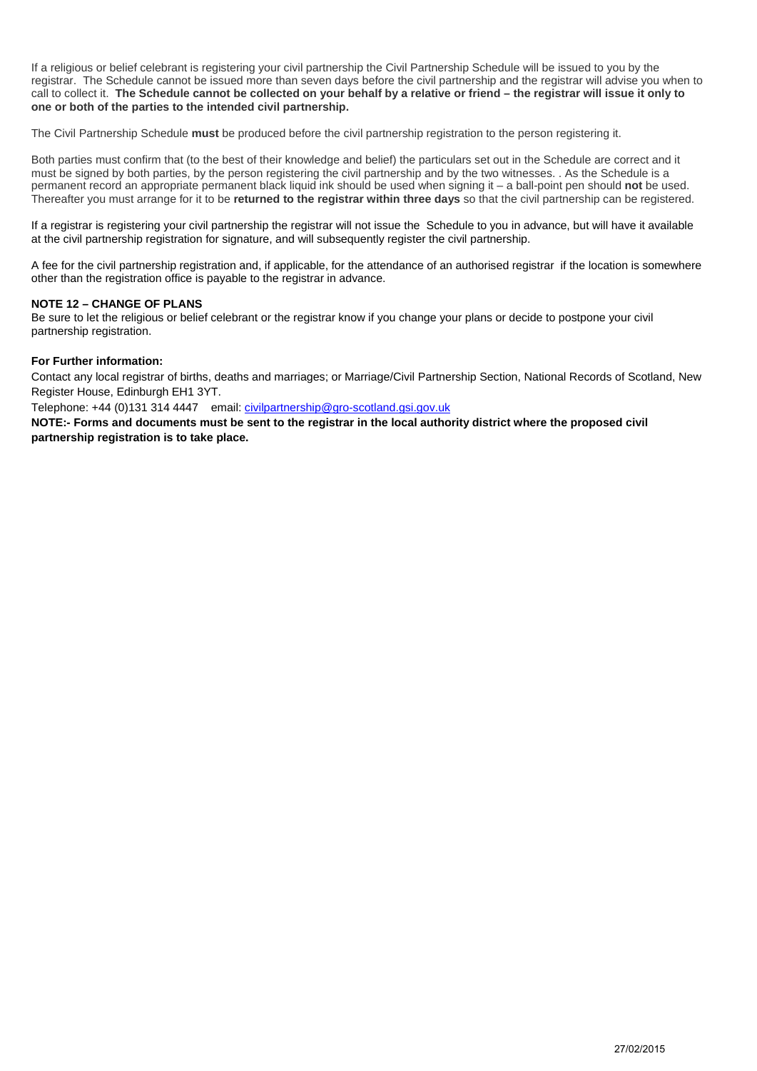If a religious or belief celebrant is registering your civil partnership the Civil Partnership Schedule will be issued to you by the registrar. The Schedule cannot be issued more than seven days before the civil partnership and the registrar will advise you when to call to collect it. **The Schedule cannot be collected on your behalf by a relative or friend – the registrar will issue it only to one or both of the parties to the intended civil partnership.**

The Civil Partnership Schedule **must** be produced before the civil partnership registration to the person registering it.

Both parties must confirm that (to the best of their knowledge and belief) the particulars set out in the Schedule are correct and it must be signed by both parties, by the person registering the civil partnership and by the two witnesses. . As the Schedule is a permanent record an appropriate permanent black liquid ink should be used when signing it – a ball-point pen should **not** be used. Thereafter you must arrange for it to be **returned to the registrar within three days** so that the civil partnership can be registered.

If a registrar is registering your civil partnership the registrar will not issue the Schedule to you in advance, but will have it available at the civil partnership registration for signature, and will subsequently register the civil partnership.

A fee for the civil partnership registration and, if applicable, for the attendance of an authorised registrar if the location is somewhere other than the registration office is payable to the registrar in advance.

#### **NOTE 12 – CHANGE OF PLANS**

Be sure to let the religious or belief celebrant or the registrar know if you change your plans or decide to postpone your civil partnership registration.

#### **For Further information:**

Contact any local registrar of births, deaths and marriages; or Marriage/Civil Partnership Section, National Records of Scotland, New Register House, Edinburgh EH1 3YT.

Telephone: +44 (0)131 314 4447 email[: civilpartnership@gro-scotland.gsi.gov.uk](mailto:marriage@gro-scotland.gsi.gov.uk)

**NOTE:- Forms and documents must be sent to the registrar in the local authority district where the proposed civil partnership registration is to take place.**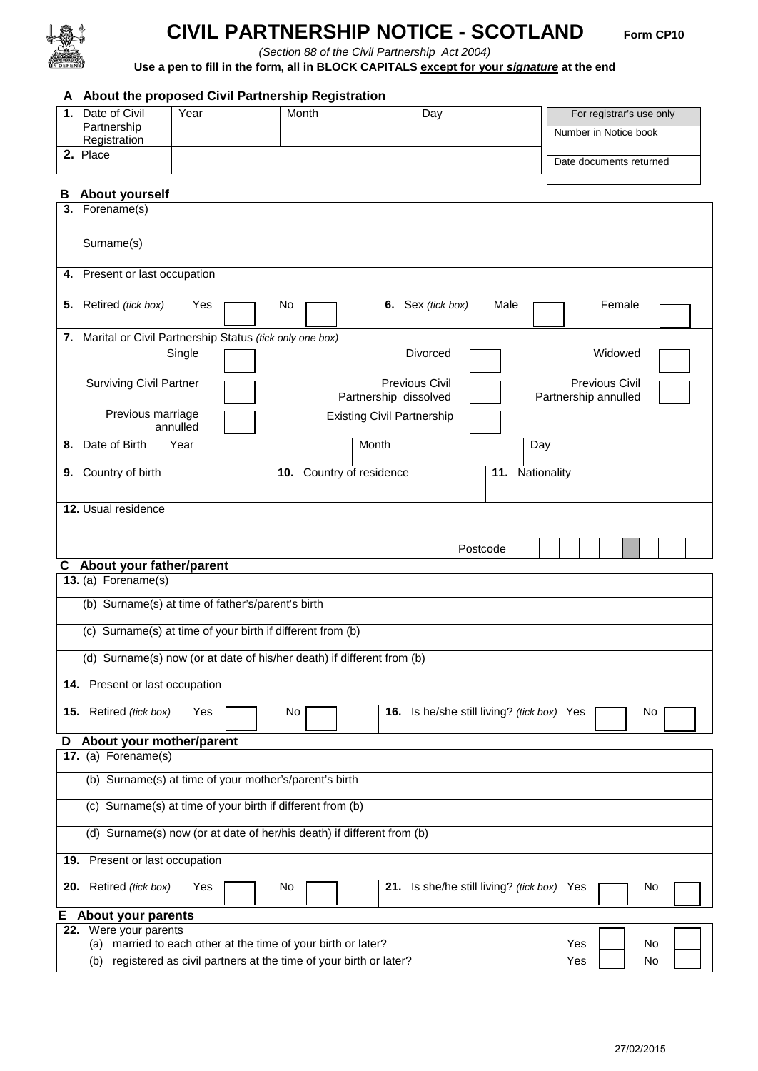

# **CIVIL PARTNERSHIP NOTICE - SCOTLAND Form CP10**

*(Section 88 of the Civil Partnership Act 2004)* 

**Use a pen to fill in the form, all in BLOCK CAPITALS except for your** *signature* **at the end**

### **A About the proposed Civil Partnership Registration**

|    | 1. Date of Civil                                                       | Year     | Month                                                            |                                   | Day                                        |                 |                      |                         | For registrar's use only |  |
|----|------------------------------------------------------------------------|----------|------------------------------------------------------------------|-----------------------------------|--------------------------------------------|-----------------|----------------------|-------------------------|--------------------------|--|
|    | Partnership<br>Registration                                            |          |                                                                  |                                   |                                            |                 |                      | Number in Notice book   |                          |  |
|    | 2. Place                                                               |          |                                                                  |                                   |                                            |                 |                      | Date documents returned |                          |  |
| в  | <b>About yourself</b>                                                  |          |                                                                  |                                   |                                            |                 |                      |                         |                          |  |
|    | 3. Forename(s)                                                         |          |                                                                  |                                   |                                            |                 |                      |                         |                          |  |
|    |                                                                        |          |                                                                  |                                   |                                            |                 |                      |                         |                          |  |
|    | Surname(s)                                                             |          |                                                                  |                                   |                                            |                 |                      |                         |                          |  |
|    | 4. Present or last occupation                                          |          |                                                                  |                                   |                                            |                 |                      |                         |                          |  |
|    | 5. Retired (tick box)                                                  | Yes      | No.                                                              |                                   | 6. Sex (tick box)                          | Male            |                      | Female                  |                          |  |
|    |                                                                        |          |                                                                  |                                   |                                            |                 |                      |                         |                          |  |
|    | 7. Marital or Civil Partnership Status (tick only one box)             |          |                                                                  |                                   |                                            |                 |                      |                         |                          |  |
|    |                                                                        | Single   |                                                                  |                                   | Divorced                                   |                 |                      | Widowed                 |                          |  |
|    | <b>Surviving Civil Partner</b>                                         |          |                                                                  |                                   | <b>Previous Civil</b>                      |                 |                      | <b>Previous Civil</b>   |                          |  |
|    |                                                                        |          |                                                                  | Partnership dissolved             |                                            |                 | Partnership annulled |                         |                          |  |
|    | Previous marriage                                                      | annulled |                                                                  | <b>Existing Civil Partnership</b> |                                            |                 |                      |                         |                          |  |
| 8. | Date of Birth                                                          | Year     |                                                                  | Month                             |                                            |                 | Day                  |                         |                          |  |
|    | 9. Country of birth                                                    |          | 10. Country of residence                                         |                                   |                                            | 11. Nationality |                      |                         |                          |  |
|    | 12. Usual residence                                                    |          |                                                                  |                                   |                                            |                 |                      |                         |                          |  |
|    |                                                                        |          |                                                                  |                                   |                                            |                 |                      |                         |                          |  |
|    |                                                                        |          |                                                                  |                                   |                                            |                 |                      |                         |                          |  |
|    |                                                                        |          |                                                                  |                                   |                                            | Postcode        |                      |                         |                          |  |
| С  | About your father/parent<br>13. (a) Forename(s)                        |          |                                                                  |                                   |                                            |                 |                      |                         |                          |  |
|    | (b) Surname(s) at time of father's/parent's birth                      |          |                                                                  |                                   |                                            |                 |                      |                         |                          |  |
|    |                                                                        |          |                                                                  |                                   |                                            |                 |                      |                         |                          |  |
|    | (c) Surname(s) at time of your birth if different from (b)             |          |                                                                  |                                   |                                            |                 |                      |                         |                          |  |
|    | (d) Surname(s) now (or at date of his/her death) if different from (b) |          |                                                                  |                                   |                                            |                 |                      |                         |                          |  |
|    | 14. Present or last occupation                                         |          |                                                                  |                                   |                                            |                 |                      |                         |                          |  |
|    | 15. Retired (tick box)                                                 | Yes      | No                                                               |                                   | 16. Is he/she still living? (tick box) Yes |                 |                      |                         | No                       |  |
| D  | About your mother/parent                                               |          |                                                                  |                                   |                                            |                 |                      |                         |                          |  |
|    | 17. (a) Forename(s)                                                    |          |                                                                  |                                   |                                            |                 |                      |                         |                          |  |
|    | (b) Surname(s) at time of your mother's/parent's birth                 |          |                                                                  |                                   |                                            |                 |                      |                         |                          |  |
|    | (c) Surname(s) at time of your birth if different from (b)             |          |                                                                  |                                   |                                            |                 |                      |                         |                          |  |
|    |                                                                        |          |                                                                  |                                   |                                            |                 |                      |                         |                          |  |
|    | (d) Surname(s) now (or at date of her/his death) if different from (b) |          |                                                                  |                                   |                                            |                 |                      |                         |                          |  |
|    | 19. Present or last occupation                                         |          |                                                                  |                                   |                                            |                 |                      |                         |                          |  |
|    | 20. Retired (tick box)                                                 | Yes      | No                                                               |                                   | 21. Is she/he still living? (tick box) Yes |                 |                      |                         | No                       |  |
| Е, | <b>About your parents</b>                                              |          |                                                                  |                                   |                                            |                 |                      |                         |                          |  |
|    | 22. Were your parents                                                  |          |                                                                  |                                   |                                            |                 |                      |                         |                          |  |
|    | (a) married to each other at the time of your birth or later?          |          |                                                                  |                                   |                                            |                 | Yes                  |                         | No                       |  |
|    | (b)                                                                    |          | registered as civil partners at the time of your birth or later? |                                   |                                            |                 | Yes                  |                         | No                       |  |